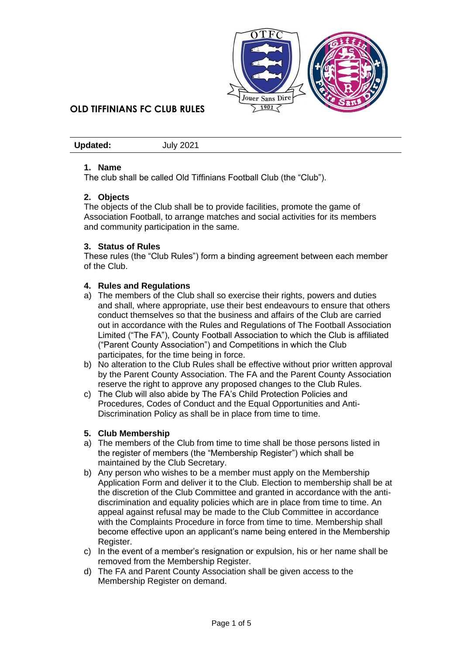

**Updated:** July 2021

#### **1. Name**

The club shall be called Old Tiffinians Football Club (the "Club").

### **2. Objects**

The objects of the Club shall be to provide facilities, promote the game of Association Football, to arrange matches and social activities for its members and community participation in the same.

#### **3. Status of Rules**

These rules (the "Club Rules") form a binding agreement between each member of the Club.

#### **4. Rules and Regulations**

- a) The members of the Club shall so exercise their rights, powers and duties and shall, where appropriate, use their best endeavours to ensure that others conduct themselves so that the business and affairs of the Club are carried out in accordance with the Rules and Regulations of The Football Association Limited ("The FA"), County Football Association to which the Club is affiliated ("Parent County Association") and Competitions in which the Club participates, for the time being in force.
- b) No alteration to the Club Rules shall be effective without prior written approval by the Parent County Association. The FA and the Parent County Association reserve the right to approve any proposed changes to the Club Rules.
- c) The Club will also abide by The FA's Child Protection Policies and Procedures, Codes of Conduct and the Equal Opportunities and Anti-Discrimination Policy as shall be in place from time to time.

#### **5. Club Membership**

- a) The members of the Club from time to time shall be those persons listed in the register of members (the "Membership Register") which shall be maintained by the Club Secretary.
- b) Any person who wishes to be a member must apply on the Membership Application Form and deliver it to the Club. Election to membership shall be at the discretion of the Club Committee and granted in accordance with the antidiscrimination and equality policies which are in place from time to time. An appeal against refusal may be made to the Club Committee in accordance with the Complaints Procedure in force from time to time. Membership shall become effective upon an applicant's name being entered in the Membership Register.
- c) In the event of a member's resignation or expulsion, his or her name shall be removed from the Membership Register.
- d) The FA and Parent County Association shall be given access to the Membership Register on demand.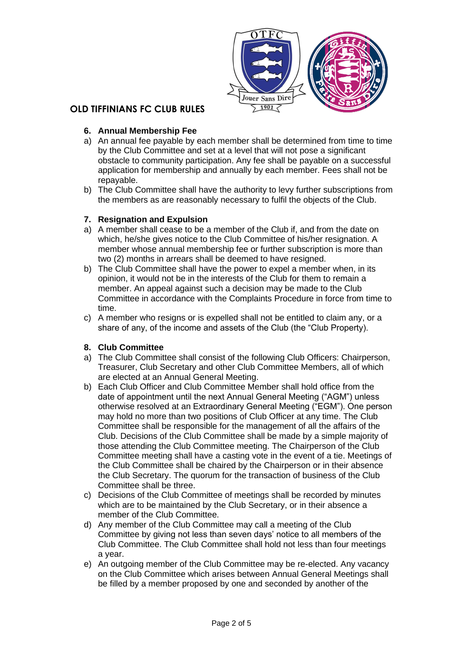

### **6. Annual Membership Fee**

- a) An annual fee payable by each member shall be determined from time to time by the Club Committee and set at a level that will not pose a significant obstacle to community participation. Any fee shall be payable on a successful application for membership and annually by each member. Fees shall not be repayable.
- b) The Club Committee shall have the authority to levy further subscriptions from the members as are reasonably necessary to fulfil the objects of the Club.

### **7. Resignation and Expulsion**

- a) A member shall cease to be a member of the Club if, and from the date on which, he/she gives notice to the Club Committee of his/her resignation. A member whose annual membership fee or further subscription is more than two (2) months in arrears shall be deemed to have resigned.
- b) The Club Committee shall have the power to expel a member when, in its opinion, it would not be in the interests of the Club for them to remain a member. An appeal against such a decision may be made to the Club Committee in accordance with the Complaints Procedure in force from time to time.
- c) A member who resigns or is expelled shall not be entitled to claim any, or a share of any, of the income and assets of the Club (the "Club Property).

### **8. Club Committee**

- a) The Club Committee shall consist of the following Club Officers: Chairperson, Treasurer, Club Secretary and other Club Committee Members, all of which are elected at an Annual General Meeting.
- b) Each Club Officer and Club Committee Member shall hold office from the date of appointment until the next Annual General Meeting ("AGM") unless otherwise resolved at an Extraordinary General Meeting ("EGM"). One person may hold no more than two positions of Club Officer at any time. The Club Committee shall be responsible for the management of all the affairs of the Club. Decisions of the Club Committee shall be made by a simple majority of those attending the Club Committee meeting. The Chairperson of the Club Committee meeting shall have a casting vote in the event of a tie. Meetings of the Club Committee shall be chaired by the Chairperson or in their absence the Club Secretary. The quorum for the transaction of business of the Club Committee shall be three.
- c) Decisions of the Club Committee of meetings shall be recorded by minutes which are to be maintained by the Club Secretary, or in their absence a member of the Club Committee.
- d) Any member of the Club Committee may call a meeting of the Club Committee by giving not less than seven days' notice to all members of the Club Committee. The Club Committee shall hold not less than four meetings a year.
- e) An outgoing member of the Club Committee may be re-elected. Any vacancy on the Club Committee which arises between Annual General Meetings shall be filled by a member proposed by one and seconded by another of the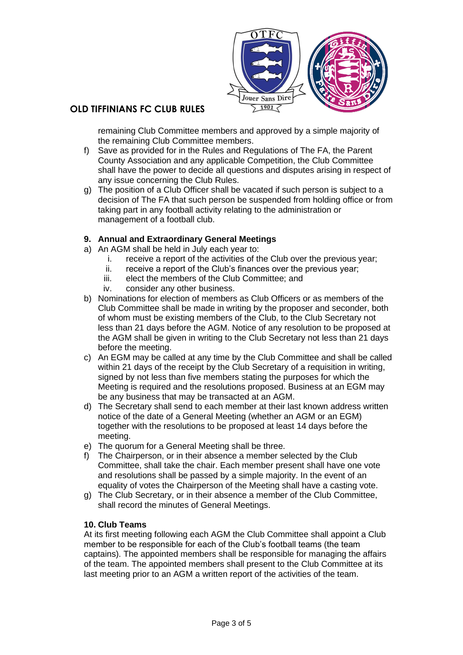

remaining Club Committee members and approved by a simple majority of the remaining Club Committee members.

- f) Save as provided for in the Rules and Regulations of The FA, the Parent County Association and any applicable Competition, the Club Committee shall have the power to decide all questions and disputes arising in respect of any issue concerning the Club Rules.
- g) The position of a Club Officer shall be vacated if such person is subject to a decision of The FA that such person be suspended from holding office or from taking part in any football activity relating to the administration or management of a football club.

### **9. Annual and Extraordinary General Meetings**

- a) An AGM shall be held in July each year to:
	- i. receive a report of the activities of the Club over the previous year;
	- ii. receive a report of the Club's finances over the previous year;
	- iii. elect the members of the Club Committee; and
	- iv. consider any other business.
- b) Nominations for election of members as Club Officers or as members of the Club Committee shall be made in writing by the proposer and seconder, both of whom must be existing members of the Club, to the Club Secretary not less than 21 days before the AGM. Notice of any resolution to be proposed at the AGM shall be given in writing to the Club Secretary not less than 21 days before the meeting.
- c) An EGM may be called at any time by the Club Committee and shall be called within 21 days of the receipt by the Club Secretary of a requisition in writing, signed by not less than five members stating the purposes for which the Meeting is required and the resolutions proposed. Business at an EGM may be any business that may be transacted at an AGM.
- d) The Secretary shall send to each member at their last known address written notice of the date of a General Meeting (whether an AGM or an EGM) together with the resolutions to be proposed at least 14 days before the meeting.
- e) The quorum for a General Meeting shall be three.
- f) The Chairperson, or in their absence a member selected by the Club Committee, shall take the chair. Each member present shall have one vote and resolutions shall be passed by a simple majority. In the event of an equality of votes the Chairperson of the Meeting shall have a casting vote.
- g) The Club Secretary, or in their absence a member of the Club Committee, shall record the minutes of General Meetings.

### **10. Club Teams**

At its first meeting following each AGM the Club Committee shall appoint a Club member to be responsible for each of the Club's football teams (the team captains). The appointed members shall be responsible for managing the affairs of the team. The appointed members shall present to the Club Committee at its last meeting prior to an AGM a written report of the activities of the team.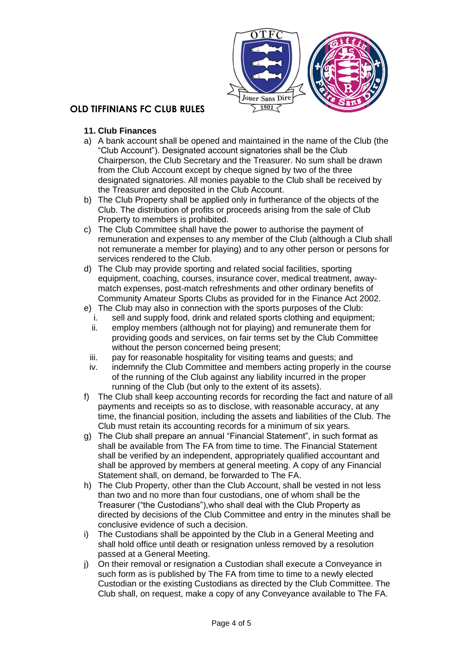

- **11. Club Finances**
- a) A bank account shall be opened and maintained in the name of the Club (the "Club Account"). Designated account signatories shall be the Club Chairperson, the Club Secretary and the Treasurer. No sum shall be drawn from the Club Account except by cheque signed by two of the three designated signatories. All monies payable to the Club shall be received by the Treasurer and deposited in the Club Account.
- b) The Club Property shall be applied only in furtherance of the objects of the Club. The distribution of profits or proceeds arising from the sale of Club Property to members is prohibited.
- c) The Club Committee shall have the power to authorise the payment of remuneration and expenses to any member of the Club (although a Club shall not remunerate a member for playing) and to any other person or persons for services rendered to the Club.
- d) The Club may provide sporting and related social facilities, sporting equipment, coaching, courses, insurance cover, medical treatment, awaymatch expenses, post-match refreshments and other ordinary benefits of Community Amateur Sports Clubs as provided for in the Finance Act 2002.
- e) The Club may also in connection with the sports purposes of the Club:
	- i. sell and supply food, drink and related sports clothing and equipment;
	- ii. employ members (although not for playing) and remunerate them for providing goods and services, on fair terms set by the Club Committee without the person concerned being present;
	- iii. pay for reasonable hospitality for visiting teams and guests; and
	- iv. indemnify the Club Committee and members acting properly in the course of the running of the Club against any liability incurred in the proper running of the Club (but only to the extent of its assets).
- f) The Club shall keep accounting records for recording the fact and nature of all payments and receipts so as to disclose, with reasonable accuracy, at any time, the financial position, including the assets and liabilities of the Club. The Club must retain its accounting records for a minimum of six years.
- g) The Club shall prepare an annual "Financial Statement", in such format as shall be available from The FA from time to time. The Financial Statement shall be verified by an independent, appropriately qualified accountant and shall be approved by members at general meeting. A copy of any Financial Statement shall, on demand, be forwarded to The FA.
- h) The Club Property, other than the Club Account, shall be vested in not less than two and no more than four custodians, one of whom shall be the Treasurer ("the Custodians"),who shall deal with the Club Property as directed by decisions of the Club Committee and entry in the minutes shall be conclusive evidence of such a decision.
- i) The Custodians shall be appointed by the Club in a General Meeting and shall hold office until death or resignation unless removed by a resolution passed at a General Meeting.
- j) On their removal or resignation a Custodian shall execute a Conveyance in such form as is published by The FA from time to time to a newly elected Custodian or the existing Custodians as directed by the Club Committee. The Club shall, on request, make a copy of any Conveyance available to The FA.